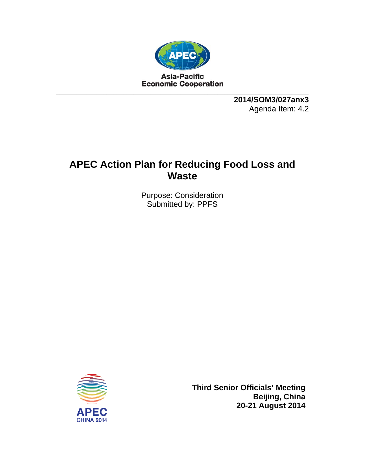

**2014/SOM3/027anx3**  Agenda Item: 4.2

# **APEC Action Plan for Reducing Food Loss and Waste**

Purpose: Consideration Submitted by: PPFS



**Third Senior Officials' Meeting Beijing, China 20-21 August 2014**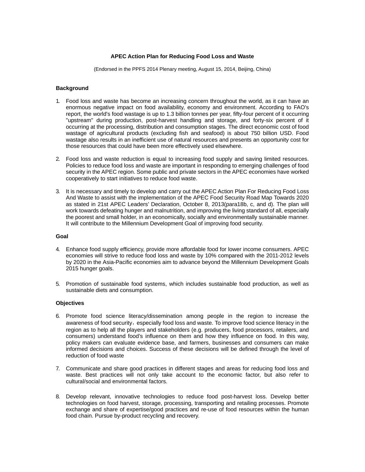## **APEC Action Plan for Reducing Food Loss and Waste**

(Endorsed in the PPFS 2014 Plenary meeting, August 15, 2014, Beijing, China)

## **Background**

- 1. Food loss and waste has become an increasing concern throughout the world, as it can have an enormous negative impact on food availability, economy and environment. According to FAO's report, the world's food wastage is up to 1.3 billion tonnes per year, fifty-four percent of it occurring "upstream" during production, post-harvest handling and storage, and forty-six percent of it occurring at the processing, distribution and consumption stages. The direct economic cost of food wastage of agricultural products (excluding fish and seafood) is about 750 billion USD. Food wastage also results in an inefficient use of natural resources and presents an opportunity cost for those resources that could have been more effectively used elsewhere.
- 2. Food loss and waste reduction is equal to increasing food supply and saving limited resources. Policies to reduce food loss and waste are important in responding to emerging challenges of food security in the APEC region. Some public and private sectors in the APEC economies have worked cooperatively to start initiatives to reduce food waste.
- 3. It is necessary and timely to develop and carry out the APEC Action Plan For Reducing Food Loss And Waste to assist with the implementation of the APEC Food Security Road Map Towards 2020 as stated in 21st APEC Leaders' Declaration, October 8, 2013(para18b, c, and d). The plan will work towards defeating hunger and malnutrition, and improving the living standard of all, especially the poorest and small holder, in an economically, socially and environmentally sustainable manner. It will contribute to the Millennium Development Goal of improving food security.

## **Goal**

- 4. Enhance food supply efficiency, provide more affordable food for lower income consumers. APEC economies will strive to reduce food loss and waste by 10% compared with the 2011-2012 levels by 2020 in the Asia-Pacific economies aim to advance beyond the Millennium Development Goals 2015 hunger goals.
- 5. Promotion of sustainable food systems, which includes sustainable food production, as well as sustainable diets and consumption.

## **Objectives**

- 6. Promote food science literacy/dissemination among people in the region to increase the awareness of food security, especially food loss and waste. To improve food science literacy in the region as to help all the players and stakeholders (e.g. producers, food processors, retailers, and consumers) understand food's influence on them and how they influence on food. In this way, policy makers can evaluate evidence base, and farmers, businesses and consumers can make informed decisions and choices. Success of these decisions will be defined through the level of reduction of food waste
- 7. Communicate and share good practices in different stages and areas for reducing food loss and waste. Best practices will not only take account to the economic factor, but also refer to cultural/social and environmental factors.
- 8. Develop relevant, innovative technologies to reduce food post-harvest loss. Develop better technologies on food harvest, storage, processing, transporting and retailing processes. Promote exchange and share of expertise/good practices and re-use of food resources within the human food chain. Pursue by-product recycling and recovery.